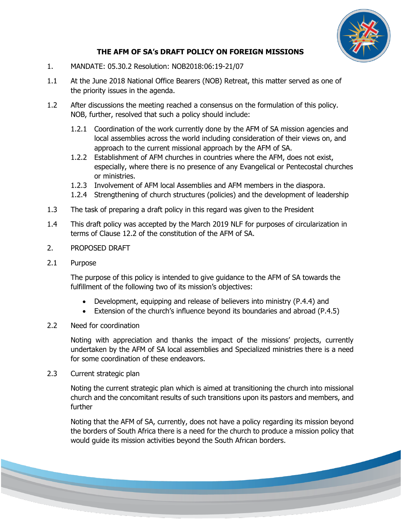

## **THE AFM OF SA's DRAFT POLICY ON FOREIGN MISSIONS**

- 1. MANDATE: 05.30.2 Resolution: NOB2018:06:19-21/07
- 1.1 At the June 2018 National Office Bearers (NOB) Retreat, this matter served as one of the priority issues in the agenda.
- 1.2 After discussions the meeting reached a consensus on the formulation of this policy. NOB, further, resolved that such a policy should include:
	- 1.2.1 Coordination of the work currently done by the AFM of SA mission agencies and local assemblies across the world including consideration of their views on, and approach to the current missional approach by the AFM of SA.
	- 1.2.2 Establishment of AFM churches in countries where the AFM, does not exist, especially, where there is no presence of any Evangelical or Pentecostal churches or ministries.
	- 1.2.3 Involvement of AFM local Assemblies and AFM members in the diaspora.
	- 1.2.4 Strengthening of church structures (policies) and the development of leadership
- 1.3 The task of preparing a draft policy in this regard was given to the President
- 1.4 This draft policy was accepted by the March 2019 NLF for purposes of circularization in terms of Clause 12.2 of the constitution of the AFM of SA.
- 2. PROPOSED DRAFT
- 2.1 Purpose

The purpose of this policy is intended to give guidance to the AFM of SA towards the fulfillment of the following two of its mission's objectives:

- Development, equipping and release of believers into ministry (P.4.4) and
- Extension of the church's influence beyond its boundaries and abroad (P.4.5)
- 2.2 Need for coordination

Noting with appreciation and thanks the impact of the missions' projects, currently undertaken by the AFM of SA local assemblies and Specialized ministries there is a need for some coordination of these endeavors.

2.3 Current strategic plan

Noting the current strategic plan which is aimed at transitioning the church into missional church and the concomitant results of such transitions upon its pastors and members, and further

Noting that the AFM of SA, currently, does not have a policy regarding its mission beyond the borders of South Africa there is a need for the church to produce a mission policy that would guide its mission activities beyond the South African borders.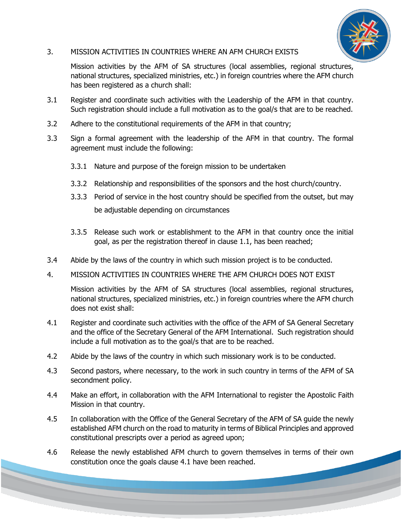

## 3. MISSION ACTIVITIES IN COUNTRIES WHERE AN AFM CHURCH EXISTS

Mission activities by the AFM of SA structures (local assemblies, regional structures, national structures, specialized ministries, etc.) in foreign countries where the AFM church has been registered as a church shall:

- 3.1 Register and coordinate such activities with the Leadership of the AFM in that country. Such registration should include a full motivation as to the goal/s that are to be reached.
- 3.2 Adhere to the constitutional requirements of the AFM in that country;
- 3.3 Sign a formal agreement with the leadership of the AFM in that country. The formal agreement must include the following:
	- 3.3.1 Nature and purpose of the foreign mission to be undertaken
	- 3.3.2 Relationship and responsibilities of the sponsors and the host church/country.
	- 3.3.3 Period of service in the host country should be specified from the outset, but may be adjustable depending on circumstances
	- 3.3.5 Release such work or establishment to the AFM in that country once the initial goal, as per the registration thereof in clause 1.1, has been reached;
- 3.4 Abide by the laws of the country in which such mission project is to be conducted.
- 4. MISSION ACTIVITIES IN COUNTRIES WHERE THE AFM CHURCH DOES NOT EXIST

Mission activities by the AFM of SA structures (local assemblies, regional structures, national structures, specialized ministries, etc.) in foreign countries where the AFM church does not exist shall:

- 4.1 Register and coordinate such activities with the office of the AFM of SA General Secretary and the office of the Secretary General of the AFM International. Such registration should include a full motivation as to the goal/s that are to be reached.
- 4.2 Abide by the laws of the country in which such missionary work is to be conducted.
- 4.3 Second pastors, where necessary, to the work in such country in terms of the AFM of SA secondment policy.
- 4.4 Make an effort, in collaboration with the AFM International to register the Apostolic Faith Mission in that country.
- 4.5 In collaboration with the Office of the General Secretary of the AFM of SA guide the newly established AFM church on the road to maturity in terms of Biblical Principles and approved constitutional prescripts over a period as agreed upon;
- 4.6 Release the newly established AFM church to govern themselves in terms of their own constitution once the goals clause 4.1 have been reached.